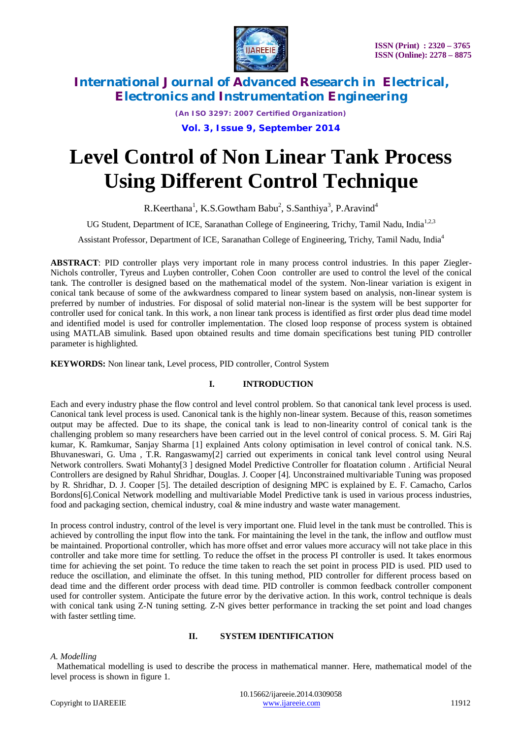

*(An ISO 3297: 2007 Certified Organization)* **Vol. 3, Issue 9, September 2014**

# **Level Control of Non Linear Tank Process Using Different Control Technique**

R.Keerthana<sup>1</sup>, K.S.Gowtham Babu<sup>2</sup>, S.Santhiya<sup>3</sup>, P.Aravind<sup>4</sup>

UG Student, Department of ICE, Saranathan College of Engineering, Trichy, Tamil Nadu, India<sup>1,2,3</sup>

Assistant Professor, Department of ICE, Saranathan College of Engineering, Trichy, Tamil Nadu, India<sup>4</sup>

**ABSTRACT**: PID controller plays very important role in many process control industries. In this paper Ziegler-Nichols controller, Tyreus and Luyben controller, Cohen Coon controller are used to control the level of the conical tank. The controller is designed based on the mathematical model of the system. Non-linear variation is exigent in conical tank because of some of the awkwardness compared to linear system based on analysis, non-linear system is preferred by number of industries. For disposal of solid material non-linear is the system will be best supporter for controller used for conical tank. In this work, a non linear tank process is identified as first order plus dead time model and identified model is used for controller implementation. The closed loop response of process system is obtained using MATLAB simulink. Based upon obtained results and time domain specifications best tuning PID controller parameter is highlighted.

**KEYWORDS:** Non linear tank, Level process, PID controller, Control System

# **I. INTRODUCTION**

Each and every industry phase the flow control and level control problem. So that canonical tank level process is used. Canonical tank level process is used. Canonical tank is the highly non-linear system. Because of this, reason sometimes output may be affected. Due to its shape, the conical tank is lead to non-linearity control of conical tank is the challenging problem so many researchers have been carried out in the level control of conical process. S. M. Giri Raj kumar, K. Ramkumar, Sanjay Sharma [1] explained Ants colony optimisation in level control of conical tank. N.S. Bhuvaneswari, G. Uma , T.R. Rangaswamy[2] carried out experiments in conical tank level control using Neural Network controllers. Swati Mohanty[3 ] designed Model Predictive Controller for floatation column . Artificial Neural Controllers are designed by Rahul Shridhar, Douglas. J. Cooper [4]. Unconstrained multivariable Tuning was proposed by R. Shridhar, D. J. Cooper [5]. The detailed description of designing MPC is explained by E. F. Camacho, Carlos Bordons[6].Conical Network modelling and multivariable Model Predictive tank is used in various process industries, food and packaging section, chemical industry, coal & mine industry and waste water management.

In process control industry, control of the level is very important one. Fluid level in the tank must be controlled. This is achieved by controlling the input flow into the tank. For maintaining the level in the tank, the inflow and outflow must be maintained. Proportional controller, which has more offset and error values more accuracy will not take place in this controller and take more time for settling. To reduce the offset in the process PI controller is used. It takes enormous time for achieving the set point. To reduce the time taken to reach the set point in process PID is used. PID used to reduce the oscillation, and eliminate the offset. In this tuning method, PID controller for different process based on dead time and the different order process with dead time. PID controller is common feedback controller component used for controller system. Anticipate the future error by the derivative action. In this work, control technique is deals with conical tank using Z-N tuning setting. Z-N gives better performance in tracking the set point and load changes with faster settling time.

# **II. SYSTEM IDENTIFICATION**

### *A. Modelling*

 Mathematical modelling is used to describe the process in mathematical manner. Here, mathematical model of the level process is shown in figure 1.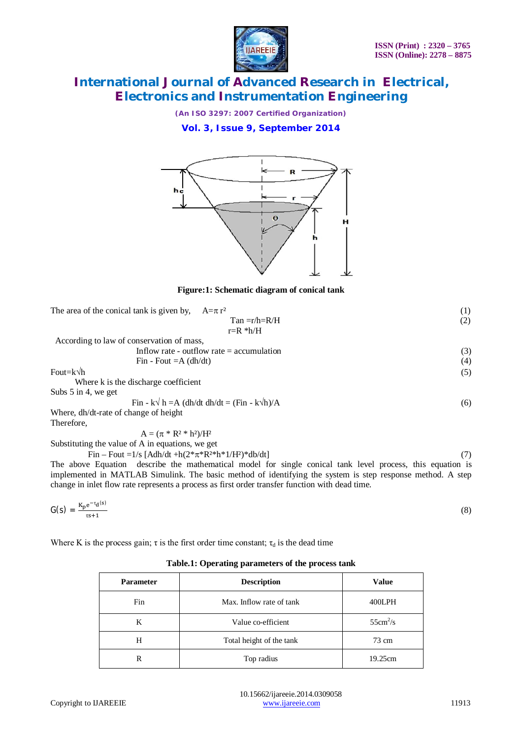

*(An ISO 3297: 2007 Certified Organization)*

**Vol. 3, Issue 9, September 2014**



**Figure:1: Schematic diagram of conical tank**

| The area of the conical tank is given by,<br>$A=\pi r^2$      | (1) |
|---------------------------------------------------------------|-----|
| $Tan = r/h = R/H$                                             | (2) |
| $r=R * h/H$                                                   |     |
| According to law of conservation of mass,                     |     |
| Inflow rate - outflow rate $=$ accumulation                   | (3) |
| Fin - Fout $=A(dh/dt)$                                        | (4) |
| Fout=k√h                                                      | (5) |
| Where k is the discharge coefficient                          |     |
| Subs $5$ in 4, we get                                         |     |
| Fin - k $\sqrt{h} = A$ (dh/dt dh/dt = (Fin - k $\sqrt{h}$ )/A | (6) |
| Where, dh/dt-rate of change of height                         |     |
| Therefore,                                                    |     |
| $A = (\pi * R^2 * h^2)/H^2$                                   |     |

Substituting the value of A in equations, we get

 $Fin - Four = 1/s$  [Adh/dt +h( $2*\pi*R^{2*}h*1/H^2$ )\*db/dt] (7)

The above Equation describe the mathematical model for single conical tank level process, this equation is implemented in MATLAB Simulink. The basic method of identifying the system is step response method. A step change in inlet flow rate represents a process as first order transfer function with dead time.

$$
G(s) = \frac{K_p e^{-\tau_d(s)}}{\tau s + 1} \tag{8}
$$

Where K is the process gain;  $\tau$  is the first order time constant;  $\tau_d$  is the dead time

### **Table.1: Operating parameters of the process tank**

| <b>Parameter</b> | <b>Description</b>       | <b>Value</b>              |
|------------------|--------------------------|---------------------------|
| Fin              | Max. Inflow rate of tank | 400LPH                    |
| K                | Value co-efficient       | $55 \text{cm}^2/\text{s}$ |
| Н                | Total height of the tank | 73 cm                     |
|                  | Top radius               | 19.25cm                   |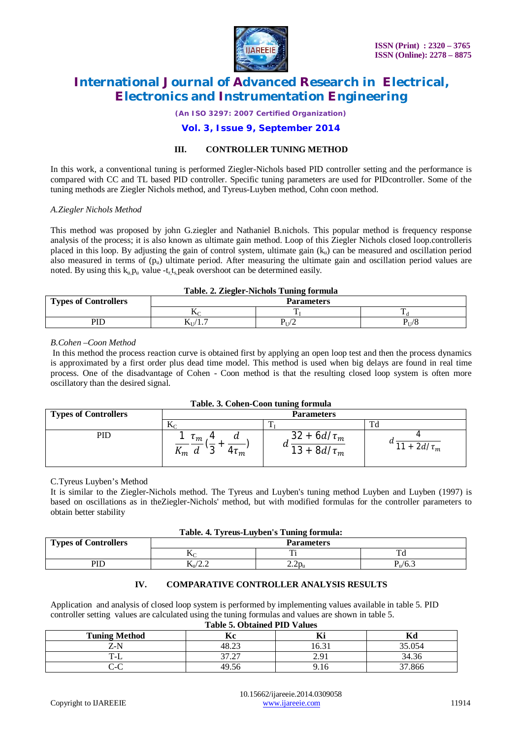

*(An ISO 3297: 2007 Certified Organization)*

# **Vol. 3, Issue 9, September 2014**

# **III. CONTROLLER TUNING METHOD**

In this work, a conventional tuning is performed Ziegler-Nichols based PID controller setting and the performance is compared with CC and TL based PID controller. Specific tuning parameters are used for PIDcontroller. Some of the tuning methods are Ziegler Nichols method, and Tyreus-Luyben method, Cohn coon method.

#### *A.Ziegler Nichols Method*

This method was proposed by john G.ziegler and Nathaniel B.nichols. This popular method is frequency response analysis of the process; it is also known as ultimate gain method. Loop of this Ziegler Nichols closed loop.controlleris placed in this loop. By adjusting the gain of control system, ultimate gain  $(k<sub>u</sub>)$  can be measured and oscillation period also measured in terms of  $(p_u)$  ultimate period. After measuring the ultimate gain and oscillation period values are noted. By using this  $k_u$ ,  $p_u$  value -t<sub>r</sub>, t<sub>s</sub>, peak overshoot can be determined easily.

#### **Table. 2. Ziegler-Nichols Tuning formula**

| <b>Types of Controllers</b> | <b>Parameters</b> |       |                      |
|-----------------------------|-------------------|-------|----------------------|
|                             | 1Y                |       |                      |
| PIE                         | N∐∕<br>.          | – /⊺י | $\sqrt{O}$<br>″⊺⊺/ O |

### *B.Cohen –Coon Method*

In this method the process reaction curve is obtained first by applying an open loop test and then the process dynamics is approximated by a first order plus dead time model. This method is used when big delays are found in real time process. One of the disadvantage of Cohen - Coon method is that the resulting closed loop system is often more oscillatory than the desired signal.

| Tubici oi Conch Coon tunnic formula |                                                       |                                         |              |
|-------------------------------------|-------------------------------------------------------|-----------------------------------------|--------------|
| <b>Types of Controllers</b>         | <b>Parameters</b>                                     |                                         |              |
|                                     | ΔC                                                    |                                         |              |
| PID                                 | $\mathbf{m}$<br>u<br>$\sim$<br>$4u_m$<br>$\mathbf{m}$ | 32<br>$+ 6d/\tau_m$<br>u<br>$8d/\tau_m$ | 2d/ $\tau_m$ |

### **Table. 3. Cohen-Coon tuning formula**

#### C.Tyreus Luyben's Method

It is similar to the Ziegler-Nichols method. The Tyreus and Luyben's tuning method Luyben and Luyben (1997) is based on oscillations as in theZiegler-Nichols' method, but with modified formulas for the controller parameters to obtain better stability

| Table. 4. Tyreus-Luyben's Tuning formula: |  |  |  |  |  |
|-------------------------------------------|--|--|--|--|--|
|-------------------------------------------|--|--|--|--|--|

| <b>Types of Controllers</b> | <b>Parameters</b>                               |                      |                               |
|-----------------------------|-------------------------------------------------|----------------------|-------------------------------|
|                             |                                                 |                      |                               |
| PID                         | $\mathbf{I} \mathbf{M}$ $\mathbf{I} \mathbf{M}$ | $\sim$ $\sim$ $\sim$ | $\mathbf{U} \cdot \mathbf{L}$ |

# **IV. COMPARATIVE CONTROLLER ANALYSIS RESULTS**

Application and analysis of closed loop system is performed by implementing values available in table 5. PID controller setting values are calculated using the tuning formulas and values are shown in table 5.

| <b>Table 5. Obtained PID Values</b> |  |
|-------------------------------------|--|
|                                     |  |

| <b>Tuning Method</b> | $-$<br>ĸс                      | $\mathbf{v}$<br>m    | $\mathbf{r}$<br>nu |
|----------------------|--------------------------------|----------------------|--------------------|
| Z-N                  | $\cap$<br>48.2                 | $\sim$ 0.1<br>16.3   | 35.054             |
| ∟−.                  | $\sim$<br>$\sim$<br>ا ہے ، ا ب | $\Omega^*$<br>$\sim$ | 34.36              |
| $\sim$ $\sim$<br>U-U | 49.56                          | .10                  | 37.866             |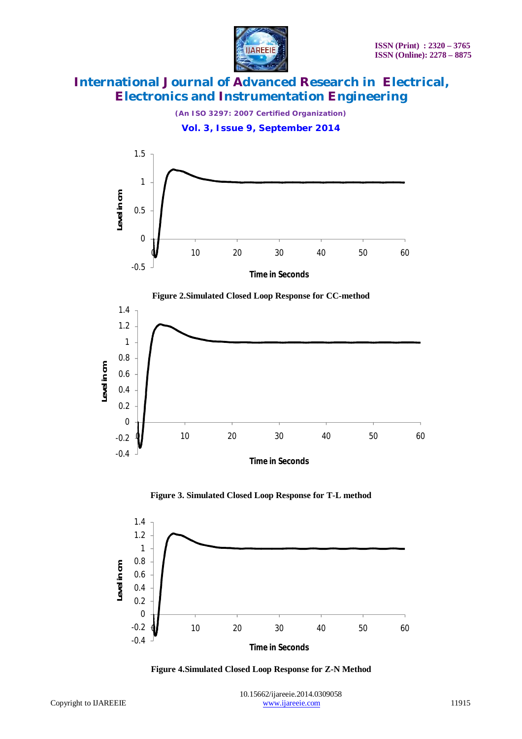

*(An ISO 3297: 2007 Certified Organization)*